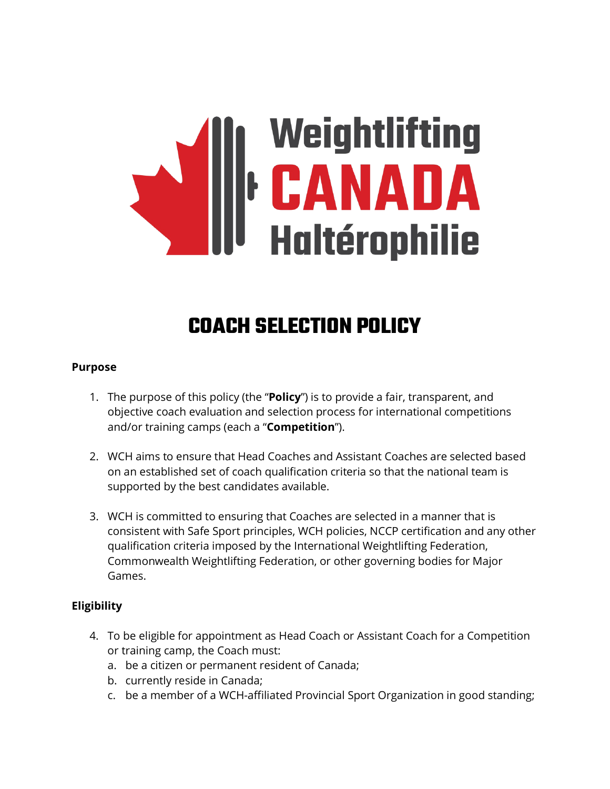# Weightlifting<br>|**| CANADA**<br>| Haltérophilie

# **COACH SELECTION POLICY**

#### **Purpose**

- 1. The purpose of this policy (the "**Policy**") is to provide a fair, transparent, and objective coach evaluation and selection process for international competitions and/or training camps (each a "**Competition**").
- 2. WCH aims to ensure that Head Coaches and Assistant Coaches are selected based on an established set of coach qualification criteria so that the national team is supported by the best candidates available.
- 3. WCH is committed to ensuring that Coaches are selected in a manner that is consistent with Safe Sport principles, WCH policies, NCCP certification and any other qualification criteria imposed by the International Weightlifting Federation, Commonwealth Weightlifting Federation, or other governing bodies for Major Games.

# **Eligibility**

- 4. To be eligible for appointment as Head Coach or Assistant Coach for a Competition or training camp, the Coach must:
	- a. be a citizen or permanent resident of Canada;
	- b. currently reside in Canada;
	- c. be a member of a WCH-affiliated Provincial Sport Organization in good standing;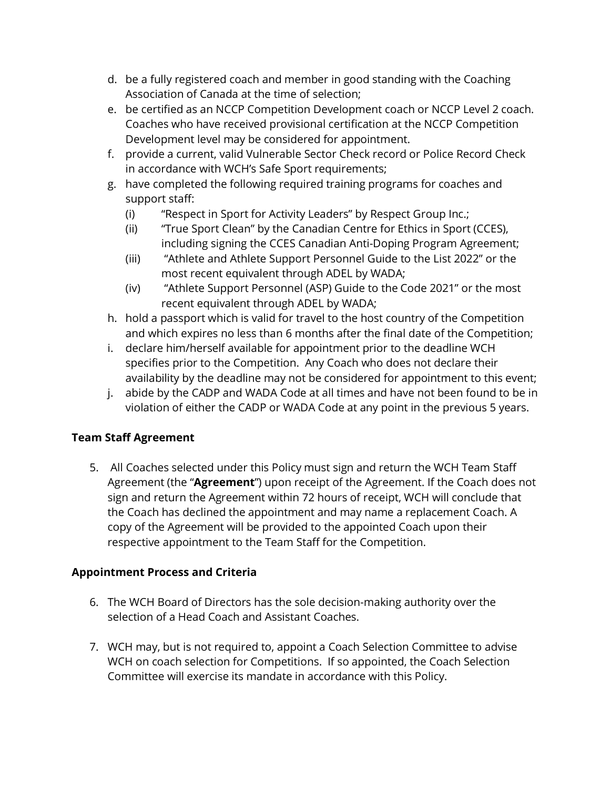- d. be a fully registered coach and member in good standing with the Coaching Association of Canada at the time of selection;
- e. be certified as an NCCP Competition Development coach or NCCP Level 2 coach. Coaches who have received provisional certification at the NCCP Competition Development level may be considered for appointment.
- f. provide a current, valid Vulnerable Sector Check record or Police Record Check in accordance with WCH's Safe Sport requirements;
- g. have completed the following required training programs for coaches and support staff:
	- (i) "Respect in Sport for Activity Leaders" by Respect Group Inc.;
	- (ii) "True Sport Clean" by the Canadian Centre for Ethics in Sport (CCES), including signing the CCES Canadian Anti-Doping Program Agreement;
	- (iii) "Athlete and Athlete Support Personnel Guide to the List 2022" or the most recent equivalent through ADEL by WADA;
	- (iv) "Athlete Support Personnel (ASP) Guide to the Code 2021" or the most recent equivalent through ADEL by WADA;
- h. hold a passport which is valid for travel to the host country of the Competition and which expires no less than 6 months after the final date of the Competition;
- i. declare him/herself available for appointment prior to the deadline WCH specifies prior to the Competition. Any Coach who does not declare their availability by the deadline may not be considered for appointment to this event;
- j. abide by the CADP and WADA Code at all times and have not been found to be in violation of either the CADP or WADA Code at any point in the previous 5 years.

# **Team Staff Agreement**

5. All Coaches selected under this Policy must sign and return the WCH Team Staff Agreement (the "**Agreement**") upon receipt of the Agreement. If the Coach does not sign and return the Agreement within 72 hours of receipt, WCH will conclude that the Coach has declined the appointment and may name a replacement Coach. A copy of the Agreement will be provided to the appointed Coach upon their respective appointment to the Team Staff for the Competition.

# **Appointment Process and Criteria**

- 6. The WCH Board of Directors has the sole decision-making authority over the selection of a Head Coach and Assistant Coaches.
- 7. WCH may, but is not required to, appoint a Coach Selection Committee to advise WCH on coach selection for Competitions. If so appointed, the Coach Selection Committee will exercise its mandate in accordance with this Policy.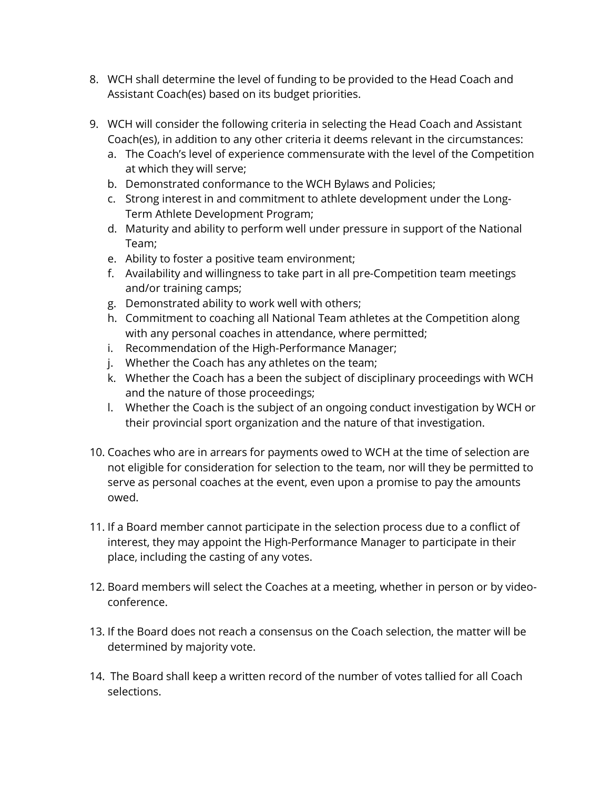- 8. WCH shall determine the level of funding to be provided to the Head Coach and Assistant Coach(es) based on its budget priorities.
- 9. WCH will consider the following criteria in selecting the Head Coach and Assistant Coach(es), in addition to any other criteria it deems relevant in the circumstances:
	- a. The Coach's level of experience commensurate with the level of the Competition at which they will serve;
	- b. Demonstrated conformance to the WCH Bylaws and Policies;
	- c. Strong interest in and commitment to athlete development under the Long-Term Athlete Development Program;
	- d. Maturity and ability to perform well under pressure in support of the National Team;
	- e. Ability to foster a positive team environment;
	- f. Availability and willingness to take part in all pre-Competition team meetings and/or training camps;
	- g. Demonstrated ability to work well with others;
	- h. Commitment to coaching all National Team athletes at the Competition along with any personal coaches in attendance, where permitted;
	- i. Recommendation of the High-Performance Manager;
	- j. Whether the Coach has any athletes on the team;
	- k. Whether the Coach has a been the subject of disciplinary proceedings with WCH and the nature of those proceedings;
	- l. Whether the Coach is the subject of an ongoing conduct investigation by WCH or their provincial sport organization and the nature of that investigation.
- 10. Coaches who are in arrears for payments owed to WCH at the time of selection are not eligible for consideration for selection to the team, nor will they be permitted to serve as personal coaches at the event, even upon a promise to pay the amounts owed.
- 11. If a Board member cannot participate in the selection process due to a conflict of interest, they may appoint the High-Performance Manager to participate in their place, including the casting of any votes.
- 12. Board members will select the Coaches at a meeting, whether in person or by videoconference.
- 13. If the Board does not reach a consensus on the Coach selection, the matter will be determined by majority vote.
- 14. The Board shall keep a written record of the number of votes tallied for all Coach selections.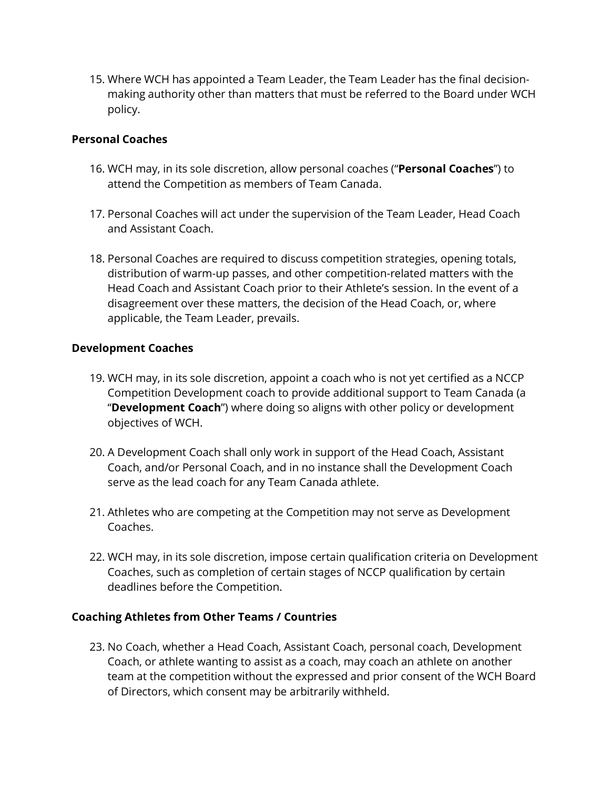15. Where WCH has appointed a Team Leader, the Team Leader has the final decisionmaking authority other than matters that must be referred to the Board under WCH policy.

#### **Personal Coaches**

- 16. WCH may, in its sole discretion, allow personal coaches ("**Personal Coaches**") to attend the Competition as members of Team Canada.
- 17. Personal Coaches will act under the supervision of the Team Leader, Head Coach and Assistant Coach.
- 18. Personal Coaches are required to discuss competition strategies, opening totals, distribution of warm-up passes, and other competition-related matters with the Head Coach and Assistant Coach prior to their Athlete's session. In the event of a disagreement over these matters, the decision of the Head Coach, or, where applicable, the Team Leader, prevails.

#### **Development Coaches**

- 19. WCH may, in its sole discretion, appoint a coach who is not yet certified as a NCCP Competition Development coach to provide additional support to Team Canada (a "**Development Coach**") where doing so aligns with other policy or development objectives of WCH.
- 20. A Development Coach shall only work in support of the Head Coach, Assistant Coach, and/or Personal Coach, and in no instance shall the Development Coach serve as the lead coach for any Team Canada athlete.
- 21. Athletes who are competing at the Competition may not serve as Development Coaches.
- 22. WCH may, in its sole discretion, impose certain qualification criteria on Development Coaches, such as completion of certain stages of NCCP qualification by certain deadlines before the Competition.

#### **Coaching Athletes from Other Teams / Countries**

23. No Coach, whether a Head Coach, Assistant Coach, personal coach, Development Coach, or athlete wanting to assist as a coach, may coach an athlete on another team at the competition without the expressed and prior consent of the WCH Board of Directors, which consent may be arbitrarily withheld.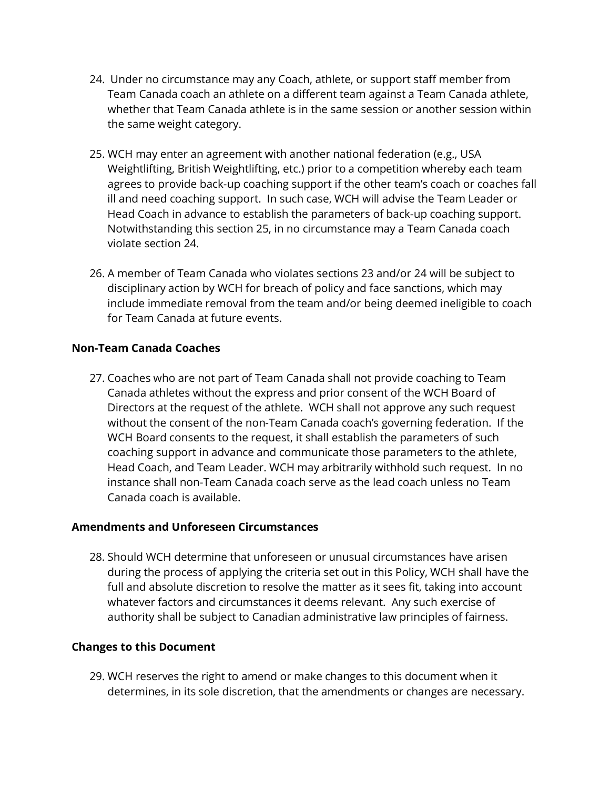- 24. Under no circumstance may any Coach, athlete, or support staff member from Team Canada coach an athlete on a different team against a Team Canada athlete, whether that Team Canada athlete is in the same session or another session within the same weight category.
- 25. WCH may enter an agreement with another national federation (e.g., USA Weightlifting, British Weightlifting, etc.) prior to a competition whereby each team agrees to provide back-up coaching support if the other team's coach or coaches fall ill and need coaching support. In such case, WCH will advise the Team Leader or Head Coach in advance to establish the parameters of back-up coaching support. Notwithstanding this section 25, in no circumstance may a Team Canada coach violate section 24.
- 26. A member of Team Canada who violates sections 23 and/or 24 will be subject to disciplinary action by WCH for breach of policy and face sanctions, which may include immediate removal from the team and/or being deemed ineligible to coach for Team Canada at future events.

#### **Non-Team Canada Coaches**

27. Coaches who are not part of Team Canada shall not provide coaching to Team Canada athletes without the express and prior consent of the WCH Board of Directors at the request of the athlete. WCH shall not approve any such request without the consent of the non-Team Canada coach's governing federation. If the WCH Board consents to the request, it shall establish the parameters of such coaching support in advance and communicate those parameters to the athlete, Head Coach, and Team Leader. WCH may arbitrarily withhold such request. In no instance shall non-Team Canada coach serve as the lead coach unless no Team Canada coach is available.

#### **Amendments and Unforeseen Circumstances**

28. Should WCH determine that unforeseen or unusual circumstances have arisen during the process of applying the criteria set out in this Policy, WCH shall have the full and absolute discretion to resolve the matter as it sees fit, taking into account whatever factors and circumstances it deems relevant. Any such exercise of authority shall be subject to Canadian administrative law principles of fairness.

#### **Changes to this Document**

29. WCH reserves the right to amend or make changes to this document when it determines, in its sole discretion, that the amendments or changes are necessary.